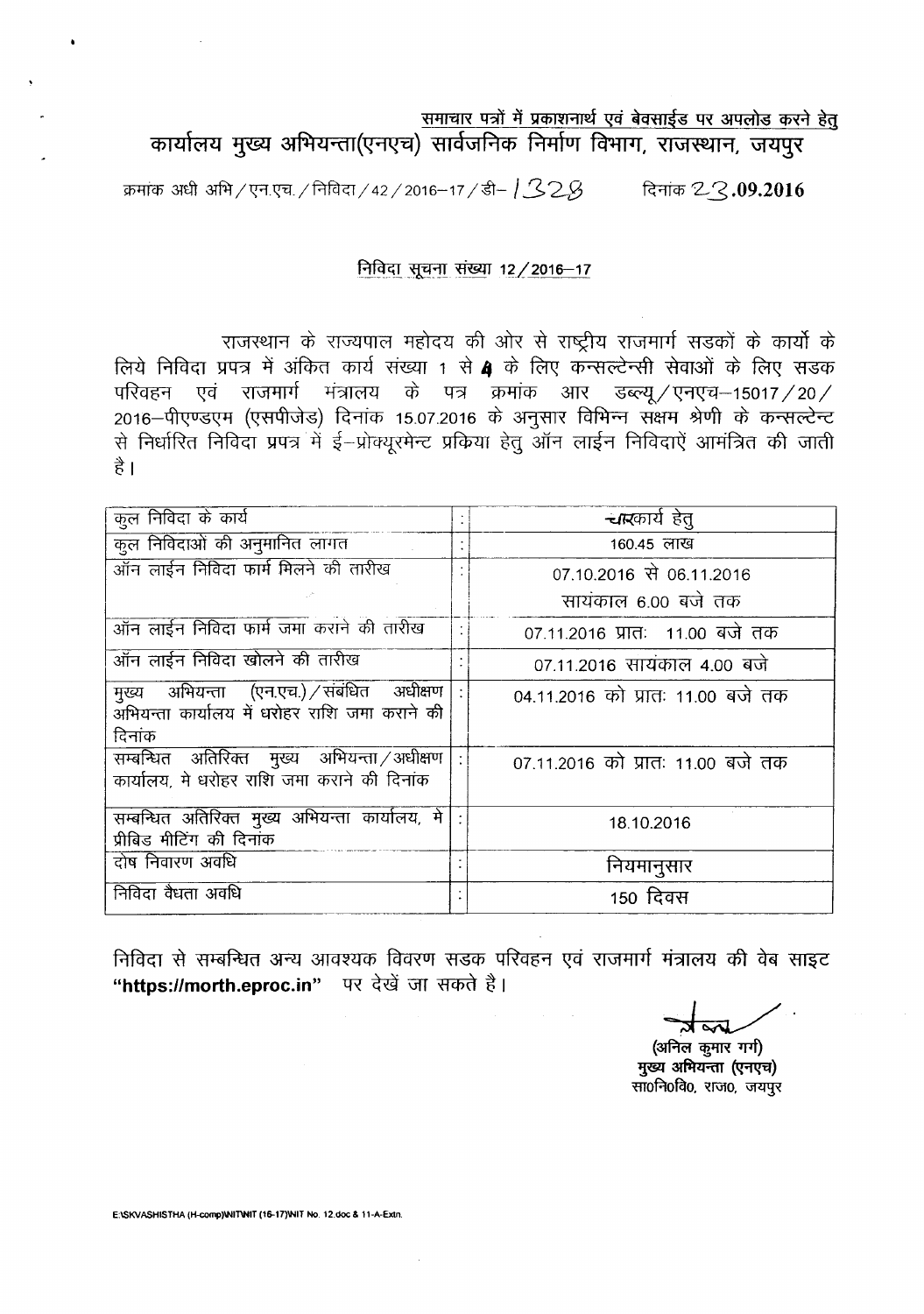# समाचार पत्रों में प्रकाशनार्थ एवं बेवसाईड पर अपलोड करने हेत् कार्यालय मुख्य अभियन्ता(एनएच) सार्वजनिक निर्माण विभाग, राजस्थान, जयपुर

 $~$ क्रमांक अधी अभि / एन.एच. / निविदा / 42 / 2016–17 / डी– |  $\leq$  2 $\beta$   $~$  - दिनांक 2  $\leq$  09.2016

## निविदा सूचना संख्या 12 / 2016-17

राजस्थान के राज्यपाल महोदय की ओर से राष्ट्रीय राजमार्ग सडकों के कार्यो के लिये निविदा प्रपत्र में अंकित कार्य संख्या 1 से 4 के लिए कन्सल्टेन्सी सेवाओं के लिए सडक परिवहन एवं राजमार्ग मंत्रालय के पत्र क्रमांक आर डब्ल्यू / एनएच-15017 / 20 / 2016 -पीएण्डएम (एसपीजेड) दिनांक 15.07.2016 के अनुसार विभिन्न संक्षम श्रेणी के कन्सल्टेन्ट से निर्धारित निविदा प्रपत्र में ई-प्रोक्युरमेन्ट प्रकिया हेतु ऑन लाईन निविदाऐं आमंत्रित की जाती  $\frac{4}{5}$ 

| कुल निविदा के कार्य                                                                                       | <b>चार</b> कार्य हेत्             |
|-----------------------------------------------------------------------------------------------------------|-----------------------------------|
| कुल निविदाओं की अनुमानित लागत                                                                             | 160.45 लाख                        |
| ऑन लाईन निविदा फार्म मिलने की तारीख                                                                       | 07.10.2016 से 06.11.2016          |
|                                                                                                           | सायंकाल 6.00 बजे तक               |
| ऑन लाईन निविदा फार्म जमा कराने की तारीख                                                                   | 07.11.2016 प्रातः 11.00 बजे तक    |
| ऑन लाईन निविदा खोलने की तारीख                                                                             | 07.11.2016 सायंकाल 4.00 बजे       |
| मुख्य अभियन्ता (एन.एच.) / संबंधित अधीक्षण<br>,<br>अभियन्ता कार्यालय में धरोहर राशि जमा कराने की<br>दिनांक | 04.11.2016 को प्रातः 11.00 बजे तक |
| सम्बन्धित अतिरिक्त मुख्य अभियन्ता /अधीक्षण  <br>कार्यालय, मे धरोहर राशि जमा कराने की दिनांक               | 07.11.2016 को प्रातः 11.00 बजे तक |
| सम्बन्धित अतिरिक्त मुख्य अभियन्ता कार्यालय, मे<br>प्रीबिड मीटिंग की दिनांक                                | 18.10.2016                        |
| दोष निवारण अवधि                                                                                           | नियमानुसार                        |
| निविदा वैधता अवधि                                                                                         | 150 दिवस                          |

निविदा से सम्बन्धित अन्य आवश्यक विवरण सडक परिवहन एवं राजमार्ग मंत्रालय की वेब साइट "https://morth.eproc.in" पर देखें जा सकते है।

~'

(अनिल कुमार गर्ग) मुख्य अभियन्ता (एनएच)  $\overline{m}$ ofiofao, राजo, जयपुर

E:ISKVASHISTHA (H-comp)INITINIT (16-17)INIT No. 12.doc & 11-A-Extn.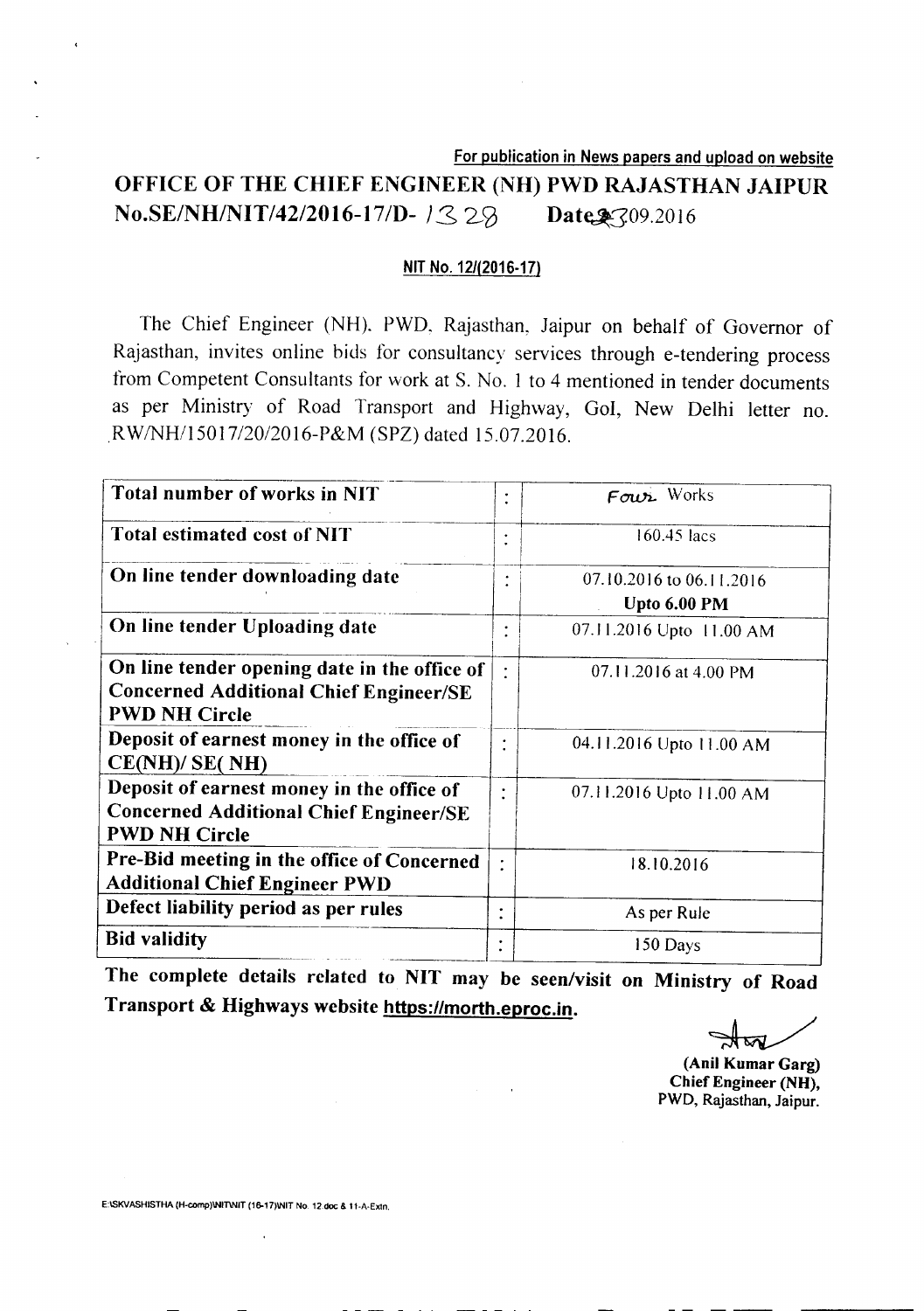For publication in News papers and upload on website

# OFFICE OF THE CHIEF ENGINEER (NH) PWD RAJASTHAN JAIPUR **No.SE/NH/NIT/42/2016-17/D-**  $\frac{32}{9}$  Date §309.2016

### NITNo. *12/(2016·17)*

The Chief Engineer (NH). PWD, Rajasthan, Jaipur on behalf of Governor of Rajasthan, invites online bids for consultancy services through e-tendering process from Competent Consultants for work at S. No.1 to 4 mentioned in tender documents as per Ministry of Road Transport and Highway, *Gol,* New Delhi letter no. *RWINHIl5017/20/2016-P&M* (SPZ) dated 15.07.2016.

| Total number of works in NIT                                                                                          | ٠              | $F$ <i>our</i> Works                     |
|-----------------------------------------------------------------------------------------------------------------------|----------------|------------------------------------------|
| <b>Total estimated cost of NIT</b>                                                                                    | $\bullet$      | $160.45$ lacs                            |
| On line tender downloading date                                                                                       |                | 07.10.2016 to 06.11.2016<br>Upto 6.00 PM |
| On line tender Uploading date                                                                                         | $\bullet$      | 07.11.2016 Upto 11.00 AM                 |
| On line tender opening date in the office of<br><b>Concerned Additional Chief Engineer/SE</b><br><b>PWD NH Circle</b> | $\ddot{\cdot}$ | 07.11.2016 at 4.00 PM                    |
| Deposit of earnest money in the office of<br>CE(NH)/SE(NH)                                                            | $\ddot{\cdot}$ | 04.11.2016 Upto 11.00 AM                 |
| Deposit of earnest money in the office of<br><b>Concerned Additional Chief Engineer/SE</b><br><b>PWD NH Circle</b>    | $\bullet$      | 07.11.2016 Upto 11.00 AM                 |
| Pre-Bid meeting in the office of Concerned<br><b>Additional Chief Engineer PWD</b>                                    | $\ddot{\cdot}$ | 18.10.2016                               |
| Defect liability period as per rules                                                                                  | ٠              | As per Rule                              |
| <b>Bid validity</b>                                                                                                   | ٠              | 150 Days                                 |

The complete details related to NIT may be seen/visit on Ministry of Road Transport & Highways website https://morth.eproc.in.

(Anil Kumar Garg) Chief Engineer (NH), PWD, Rajasthan, Jaipur.

E:ISKVASHISTHA (H-comp)\NIT\NIT (16-17)\NIT No. 12.doc & 11-A-Extn.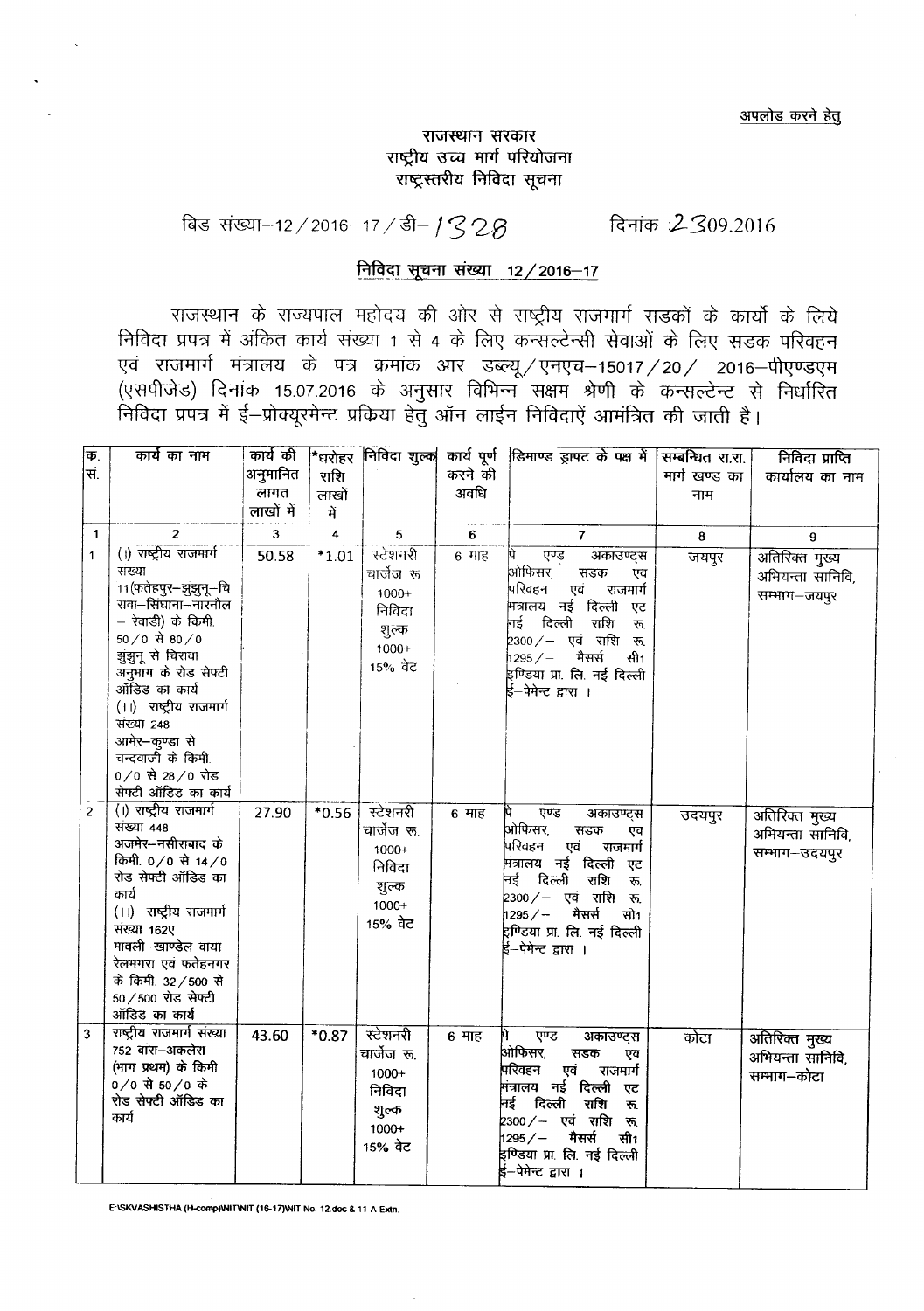अपलोड करने हेतू

## राजस्थान सरकार राष्ट्रीय उच्च मार्ग परियोजना राष्ट्रस्तरीय निविदा सूचना

# <u>बिड संख्या-12/2016-17/डी-1328</u> दिनांक 2309.2016

# निविदा सूचना संख्या 12 / 2016-17

राजस्थान के राज्यपाल महोदय की ओर से राष्ट्रीय राजमार्ग सड़कों के कार्यो के लिये Pi fc1~ <sup>I</sup> <sup>~</sup> 1) ~ Cf5Tll <sup>~</sup> 1 ~ <sup>4</sup> *cTi <sup>~</sup>* Cf)"fiR"ffl Wnw *cTi <sup>~</sup> <sup>~</sup>* qRq!5 '1 एवं राजमार्ग मंत्रालय के पत्र क्रमांक आर डब्ल्यू /एनएच--15017 / 20 / 2016-पीएण्डएम (एसपीजेड) दिनांक 15.07.2016 के अनुसार विभिन्न सक्षम श्रेणी के कन्सल्टेन्ट से नि निविदा प्रपत्र में ई—प्रोक्यूरमेन्ट प्रकिया हेतु ऑन लाईन निविदाऐं आमंत्रित की जाती है।

| $\overline{\Phi}$ . | कार्य का नाम                                                                                                                                                                                                                                                          | कार्य की     | *धरोहर  | निविदा शुल्क                                                                |         | कार्य पूर्ण डिमाण्ड ड्राफ्ट के पक्ष में                                                                                                                                                                                                                   | सम्बन्धित रा.रा. | निविदा प्राप्ति                                     |  |
|---------------------|-----------------------------------------------------------------------------------------------------------------------------------------------------------------------------------------------------------------------------------------------------------------------|--------------|---------|-----------------------------------------------------------------------------|---------|-----------------------------------------------------------------------------------------------------------------------------------------------------------------------------------------------------------------------------------------------------------|------------------|-----------------------------------------------------|--|
| सं.                 |                                                                                                                                                                                                                                                                       | अनुमानित     | राशि    |                                                                             | करने की |                                                                                                                                                                                                                                                           | मार्ग खण्ड का    | कार्यालय का नाम                                     |  |
|                     |                                                                                                                                                                                                                                                                       | लागत         | लाखों   |                                                                             | अवधि    |                                                                                                                                                                                                                                                           | नाम              |                                                     |  |
|                     |                                                                                                                                                                                                                                                                       | लाखों में    | में     |                                                                             |         |                                                                                                                                                                                                                                                           |                  |                                                     |  |
| $\mathbf{1}$        | $\overline{2}$                                                                                                                                                                                                                                                        | $\mathbf{3}$ | 4       | 5                                                                           | 6       | $\overline{7}$                                                                                                                                                                                                                                            | 8                | 9                                                   |  |
| $\mathbf{1}$        | (1) राष्ट्रीय राजमार्ग<br>संख्या<br>11(फतेहपुर–झुझुनू–चि<br>रावा-सिंघाना-नारनौल<br>– रेवाडी) के किमी.<br>$50/0$ से 80/0<br>झुंझुनू से चिरावा<br>अनुमांग के रोड सेफ्टी<br>ऑडिड का कार्य<br>(।।) राष्ट्रीय राजमार्ग<br>संख्या 248<br>आमेर-कुण्डा से<br>चन्दवाजी के किमी | 50.58        | $*1.01$ | स्टेशनरी<br>चार्जेज रू.<br>$1000+$<br>निविदा<br>शुल्क<br>$1000+$<br>15% वेट | $6$ गाह | एण्ड<br>अकाउण्ट्स<br>ओफिसर,<br>सडक<br>एव<br>परिवहन<br>एवं<br>राजमार्ग<br>मंत्रालय नई दिल्ली<br>एट<br>नई दिल्ली<br>राशि<br>रू.<br>2300⁄– एवं राशि<br>रू.<br>$1295 / -$<br>मैसर्स<br>सी1<br>इण्डिया प्रा. लि. नई दिल्ली<br>ई–पेमेन्ट द्वारा ।               | जयपुर            | अतिरिक्त मुख्य<br>अभियन्ता सानिवि,<br>सम्भाग-जयपुर  |  |
|                     | $0/0$ से 28/0 रोड<br>सेफ्टी ऑडिड का कार्य                                                                                                                                                                                                                             |              |         |                                                                             |         |                                                                                                                                                                                                                                                           |                  |                                                     |  |
| $\overline{2}$      | (1) राष्ट्रीय राजमार्ग<br>संख्या 448<br>अजमेर-नसीराबाद के<br>किमी. 0/0 से 14/0<br>रोड सेफ्टी ऑडिड का<br>कार्य<br>(।) राष्ट्रीय राजमार्ग<br>संख्या 162ए<br>मावली-खाण्डेल वाया<br>रेलमगरा एवं फतेहनगर<br>के किमी. 32/500 से<br>50 / 500 रोड सेफ्टी<br>ऑडिड का कार्य     | 27.90        | $*0.56$ | स्टेशनरी<br>चार्जेज रू.<br>1000+<br>निविदा<br>शुल्क<br>$1000+$<br>15% वेट   | 6 माह   | एण्ड<br>अकाउण्ट्स<br>ओफिसर,<br>सडक<br>एव<br>परिवहन<br>एवं<br>राजमार्ग<br>मित्रालय नई दिल्ली एट<br>नई दिल्ली<br>राशि<br>$\overline{\mathcal{F}}$<br>2300⁄− एवं राशि रू.<br>मैसर्स<br>$1295/ -$<br>सी1<br>इण्डिया प्रा. लि. नई दिल्ली<br>ई–पेमेन्ट द्वारा । | उदयपुर           | अतिरिक्त मुख्य<br>अभियन्ता सानिवि,<br>सम्भाग-उदयपूर |  |
| $\overline{3}$      | राष्ट्रीय राजमार्ग संख्या<br>752 बांरा-अकलेरा<br>(भाग प्रथम) के किमी<br>$0/0$ से 50/0 के<br>रोड सेफ्टी ऑडिड का<br>कार्य                                                                                                                                               | 43.60        | $*0.87$ | स्टेशनरी<br>चार्जेज रू.<br>1000+<br>निविदा<br>शुल्क<br>1000+<br>15% ਕੇਟ     | 6 माह   | Ŋ.<br>एण्ड<br>अकाउण्ट्स<br>आ़ेफिसर,<br>सडक<br>एव<br>परिवहन<br>एवं<br>राजमार्ग<br>मंत्रालय नई दिल्ली<br>एट<br>नई दिल्ली<br>राशि<br>ক.<br>2300 / — एवं राशि<br>रू.<br>1295/<br>मैसर्स<br>सी1<br>इण्डिया प्रा. लि. नई दिल्ली<br>ई–पेमेन्ट द्वारा ।           | कोटा             | अतिरिक्त मुख्य<br>अभियन्ता सानिवि,<br>सम्भाग–कोटा   |  |

E:ISKVASHISTHA (H-comp)INITNIT (16-17)WIT No. 12.doc & 11-A-Extn.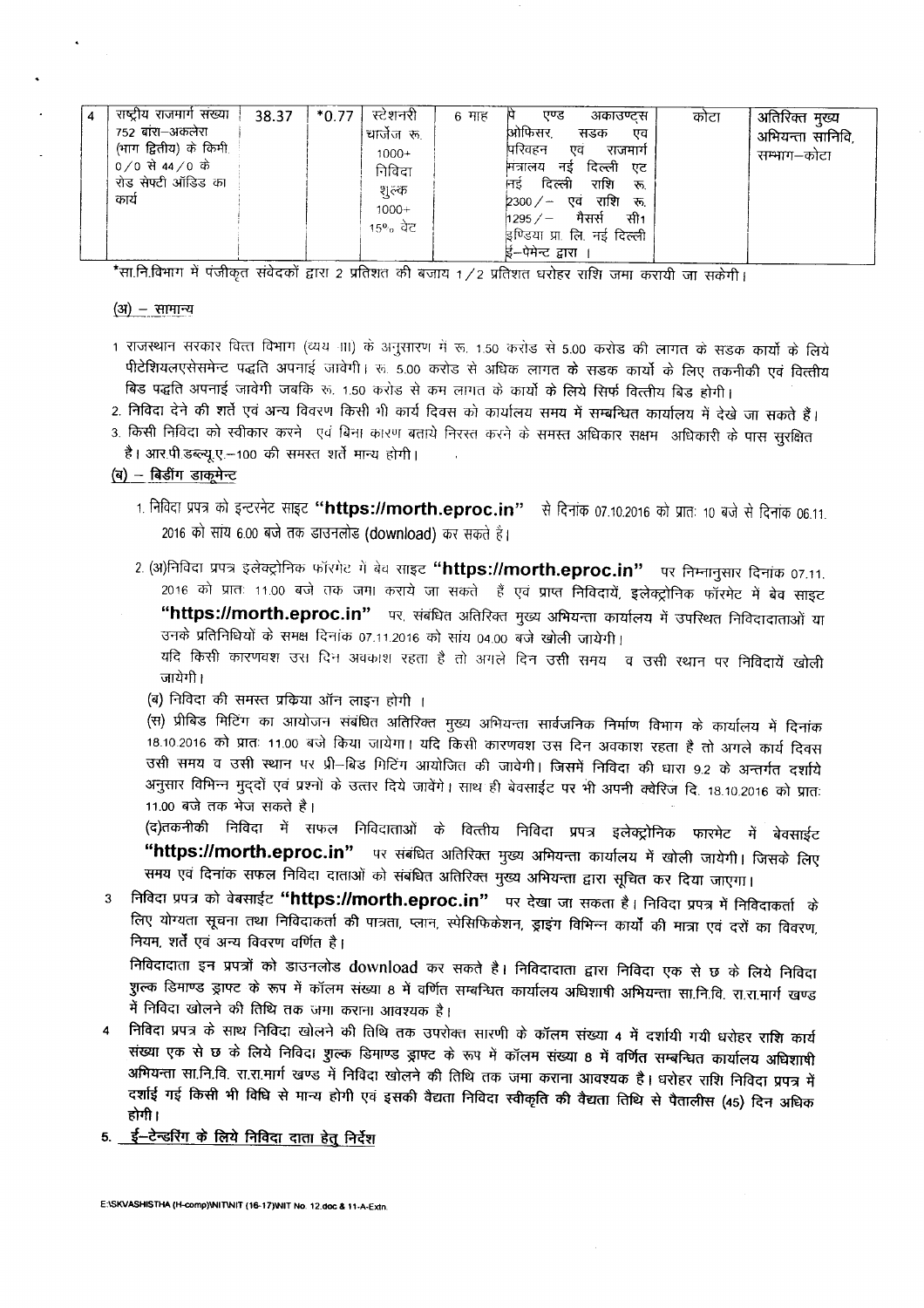| 4 | राष्ट्रीय राजमार्ग संख्या<br>752 बांरा–अकलेरा<br>(भाग द्वितीय) के किमी<br>0/0 से 44/0 के<br>रोड सेफ्टी ऑडिड का<br>कार्य | 38.37 | स्टेशनरी<br>$*0.77$<br>चार्जेज रू.<br>$1000+$<br>निविदा<br>शुल्क<br>$1000+$<br>15% ਕੋਟ | 6 माह | एण्ड<br>अकाउण्टस<br>ओफिसर.<br>सडक<br>एव<br>परिवहन<br>एव<br>राजमार्ग<br>दिल्ली<br>नड<br>मत्रालय<br>ਧਟ<br>दिल्ली<br>राशि<br>निड<br>रू<br>एव राशि रू<br>$2300 / -$<br>मैसर्स<br>सी1<br>$1295 / -$<br>इण्डिया प्रा. लि. नई दिल्ली | कोटा | , अतिरिक्त मुख्य<br>अभियन्ता सानिवि,<br>सम्भाग–कोटा |
|---|-------------------------------------------------------------------------------------------------------------------------|-------|----------------------------------------------------------------------------------------|-------|-------------------------------------------------------------------------------------------------------------------------------------------------------------------------------------------------------------------------------|------|-----------------------------------------------------|
|   |                                                                                                                         |       |                                                                                        |       | ई–पेमेन्ट द्वारा                                                                                                                                                                                                              |      |                                                     |

\*सा.नि.विभाग में पंजीकृत संवेदकों द्वारा 2 प्रतिशत की बजाय 1/2 प्रतिशत धरोहर राशि जमा करायी जा सकेगी।

#### $(3i)$  – सामान्य

- 1 राजस्थान सरकार वित्त विभाग (व्यय ना) के अनुसारण में रू. 1.50 करोड़ से 5.00 करोड़ की लागत के सड़क कार्यो के लिये पीटेशियलएसेसमेन्ट पद्धति अपनाई जावेगी। रू. 5.00 करोड से अधिक लागत के सडक कार्यों के लिए तकनीकी एवं वित्तीय बिड पद्धति अपनाई जावेगी जबकि रू. 1.50 करोड से कम लागत के कार्यो के लिये सिर्फ वित्तीय बिड होगी।
- 2. निविदा देने की शर्ते एवं अन्य विवरण किसी भी कार्य दिवस को कार्यालय समय में सम्बन्धित कार्यालय में देखे जा सकते हैं।
- 3. किसी निविदा को स्वीकार करने एवं बिना कारण बताये निरस्त करने के समस्त अधिकार सक्षम अधिकारी के पास सूरक्षित है। आर.पी.डब्ल्यू.ए.-100 की समस्त शर्ते मान्य होगी।
- $(a)$  बिडींग डाकूमेन्ट
	- 1. निविदा प्रपत्र को इन्टरनेट साइट "https://morth.eproc.in" से दिनांक 07.10.2016 को प्रातः 10 बजे से दिनांक 06.11. 2016 को साय 6.00 बजे तक डाउनलोड (download) कर सकते हैं।
	- 2. (अ)निविदा प्रपत्र इलेक्ट्रोनिक फॉरमेट में बेव साइट "https://morth.eproc.in" पर निम्नानुसार दिनांक 07.11. 2016 को प्रातः 11.00 बजे तक जम। कराये जा सकते हैं एवं प्राप्त निविदायें, इलेक्ट्रोनिक फॉरमेट में बेव साइट "https://morth.eproc.in" पर, संबंधित अतिरिक्त मुख्य अभियन्ता कार्यालय में उपस्थित निविदादाताओं या उनके प्रतिनिधियों के समक्ष दिनांक 07.11.2016 को सांय 04.00 बजे खोली जायेगी।
		- यदि किसी कारणवश उस दिन अवकाश रहता है तो अगले दिन उसी समय व उसी स्थान पर निविदायें खोली जायेगी।
		- (ब) निविदा की समस्त प्रकिया ऑन लाइन होगी ।
		- (स) प्रीबिड मिटिंग का आयोजन संबंधित अतिरिक्त मुख्य अभियन्ता सार्वजनिक निर्माण विभाग के कार्यालय में दिनांक . . .<br>18.10.2016 को प्रातः 11.00 बजे किया जायेगा। यदि किसी कारणवश उस दिन अवकाश रहता है तो अगले कार्य दिवस उसी समय व उसी स्थान पर प्री-बिड मिटिंग आयोजित की जावेगी। जिसमें निविदा की धारा 9.2 के अन्तर्गत दर्शाये अनुसार विभिन्न मुद्**दों एवं प्रश्नों के उत्तार दिये जा**वेंगे। साथ ही बेवसाईट पर भी अपनी क्वेरिज दि. 18.10.2016 को प्रातः 11.00 बजे तक भेज सकते है।

(द)तकनीकी निविदा में सफल निविदाताओं के वित्तीय निविदा प्रपत्र इलेक्ट्रोनिक फारमेट में बेवसाईट "https://morth.eproc.in" पर संबंधित अतिरिक्त मुख्य अभियन्ता कार्यालय में खोली जायेगी। जिसके लिए समय एवं दिनांक सफल निविदा दाताओं को संबंधित अतिरिक्त मुख्य अभियन्ता द्वारा सूचित कर दिया जाएगा।

3 निविदा प्रपत्र को वेबसाईट **"https://morth.eproc.in"** पर देखा जा सकता है। निविदा प्रपत्र में निविदाकर्ता के लिए योग्यता सूचना तथा निविदाकर्ता की पात्रता, प्लान, स्पेसिफिकेशन, ड्राइंग विभिन्न कार्यों की मात्रा एवं दरों का विवरण, नियम, शर्तें एवं अन्य विवरण वर्णित है।

<u>निविदादाता इन प्रपत्रों को डाउनलोड download कर सकते है। निविदादाता द्वारा निविदा एक से छ के लिये निविदा</u> शुल्क डिमाण्ड ड्राफ्ट के रूप में कॉलम संख्या 8 में वर्णित सम्बन्धित कार्यालय अधिशाषी अभियन्ता सा.नि.वि. रा.रा.मार्ग खण्ड में निविदा खोलने की तिथि तक जमा कराना आवश्यक है।

- निविदा प्रपत्र के साथ निविदा खोलने की तिथि तक उपरोक्त सारणी के कॉलम संख्या 4 में दर्शायी गयी धरोहर राशि कार्य संख्या एक से छ के लिये निविद। शुल्क डिमाण्ड ड्राफ्ट के रूप में कॉलम संख्या 8 में वर्णित सम्बन्धित कार्यालय अधिशाषी .<br>अभियन्ता सा.नि.वि. रा.रा.मार्ग खण्ड में निविदा खोलने की तिथि तक जमा कराना आवश्यक है। धरोहर राशि निविदा प्रपत्र मे दर्शाई गई किसी भी विधि से मान्य होगी एवं इसकी वैद्यता निविदा स्वीकृति की वैद्यता तिथि से पैतालीस (45) दिन अधिक होगी ।
- 5. <u>ई-टेन्डरिंग के लिये निविदा दाता हेतू</u> निर्देश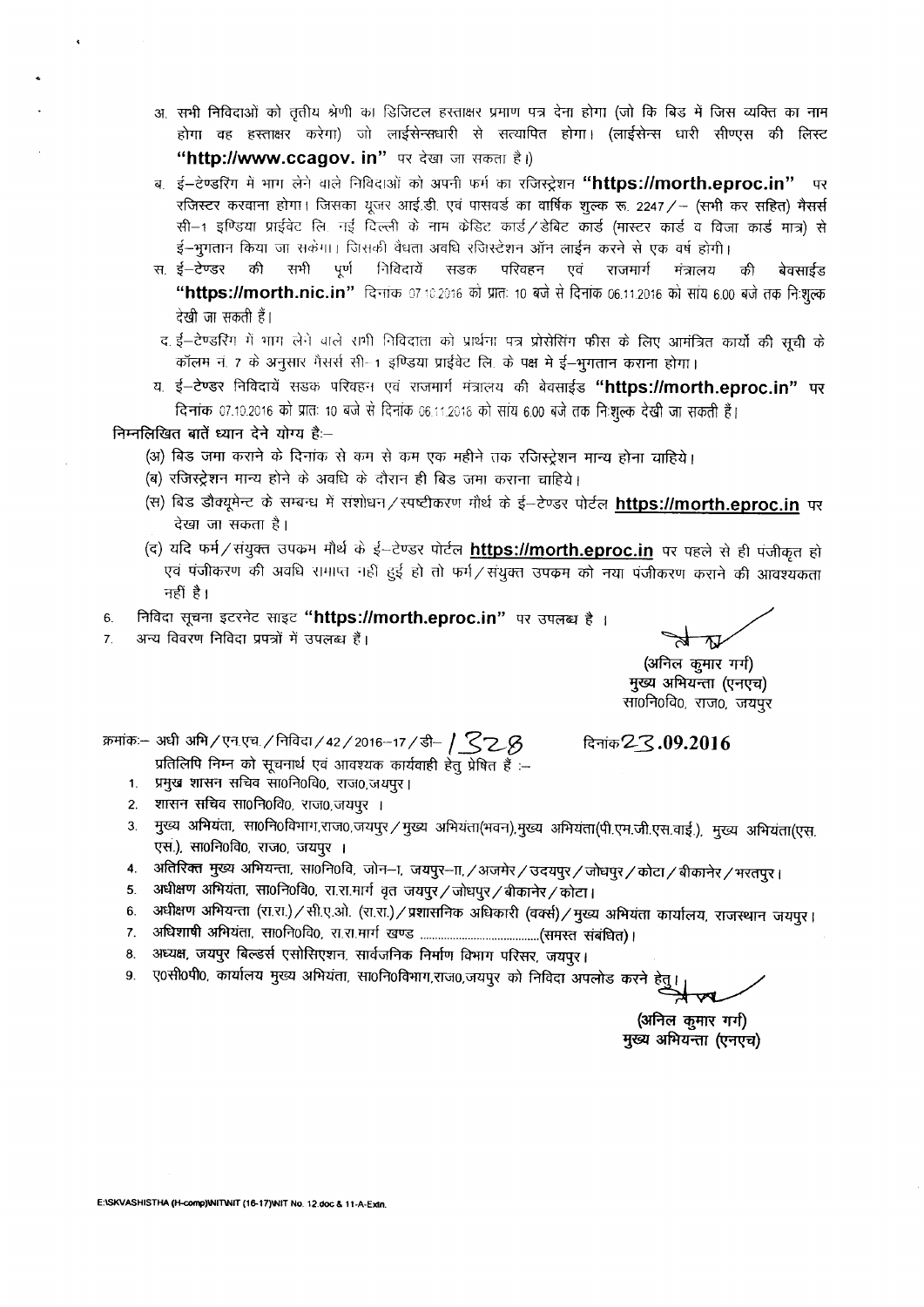- अ. सभी निविदाओं को तृतीय श्रेणी का डिजिटल हरताक्षर प्रमाण पत्र देना होगा (जो कि बिड में जिस व्यक्ति का नाम होगा वह हस्ताक्षर करेगा) जो लाईसेन्सधारी से सत्यापित होगा। (लाईसेन्स धारी सीण्एस की लिस्ट "http://www.ccagov. in" पर देखा जा सकता है।)
- ब. ई—टेण्डरिंग में भाग लेने वाले निविदाओं को अपनी फर्म का रजिस्ट्रेशन **"https://morth.eproc.in"** पर रजिस्टर करवाना होगा। जिसका यूजर आई.डी. एवं पासवर्ड का वार्षिक शुल्क रू. 2247/- (सभी कर सहित) मैसर्स सी-1 इण्डिया प्राईवेट लि. नई दिल्ली के नाम केडिट कार्ड / डेबिट कार्ड (मास्टर कार्ड व विजा कार्ड मात्र) से ई-भूगतान किया जा सकेंगा। जिसकी वैधता अवधि रजिस्टेशन ऑन लाईन करने से एक वर्ष होगी।
- स. ई—टेण्डर की सभी पूर्ण निविदायें सडक परिवहन एवं राजमार्ग मंत्रालय की बेवसाईड **"https://morth.nic.in"** दिनांक 07.10.2016 को प्रातः 10 बजे से दिनांक 06.11.2016 को सांय 6.00 बजे तक नि:शुल्क देखी जा सकती हैं।
- द. ई-टेण्डरिंग में भाग लेने वाले राभी निविदाता को प्रार्थना पत्र प्रोसेसिंग फीस के लिए आमंत्रित कार्यो की सूची के कॉलम नं. 7 के अनुसार मैसर्स सी-1 इण्डिया प्राईवेट लि. के पक्ष मे ई-भूगतान कराना होगा।
- य. ई-टेण्डर निविदायें सडक परिवहन एवं राजमार्ग मंत्रालय की बेक्साईड "https://morth.eproc.in" पर - दिनांक 07.10.2016 को प्रातः 10 बजे से दिनांक 06.11.2016 को सांय 6.00 बजे तक निःशुल्क देखी जा सकती हैं।

#### निम्नलिखित बातें ध्यान देने योग्य है:--

- (अ) बिड जमा कराने के दिनांक से कम से कम एक महीने तक रजिस्ट्रेशन मान्य होना वाहिये।
- (ब) रजिस्ट्रेशन मान्य होने के अवधि के दौरान ही बिड जमा कराना चाहिये।
- (स) बिड डौक्यूमेन्ट के सम्बन्ध में संशोधन / स्पष्टीकरण मौर्थ के ई--टेण्डर पोर्टल **https://morth.eproc.in** पर देखा जा सकता है।
- (द) यदि फर्म/संयुक्त उपक्रम मौर्थ के ई-टेण्डर पोर्टल https://morth.eproc.in पर पहले से ही पंजीकृत हो एवं पंजीकरण की अवधि रामाप्त नहीं हुई हो तो फर्म/संयुक्त उपक्रम को नया पंजीकरण कराने की आवश्यकता नहीं है।
- 6. निविदा सूचना इटरनेट साइट "https://morth.eproc.in" पर उपलब्ध है ।
- 7. अन्य विवरण निविदा प्रपत्रों में उपलब्ध हैं।

(अनिल कुमार गर्ग) मुख्य अभियन्ता (एनएच) 'सा0नि0वि0, राज0, जयपूर

~:- <sup>~</sup> ~/~"(frl./f.'rfuc;r/42/2016-17 */-tT-1 \_S'2..-B* ~2..3.09.20]6

- प्रतिलिपि निम्न को सूचनार्थ एवं आवश्यक कार्यवाही हेतु प्रेषित हैं :--
- 1. प्रमुख शासन सचिव सा0नि0वि0, राज0,जयपुर।
- 2. शासन सचिव सा0नि0वि0, राज0,जयपूर ।
- 3. मुख्य अभियंता, सा0नि0विभाग,राज0,जयपुर / मुख्य अभियंता(भवन),मुख्य अभियंता(पी.एम.जी.एस.वाई.), मुख्य अभियंता(एस. एस.). सा0नि0वि0, राज0, जयपुर ।
- 4. जतिरिक्त मुख्य अभियन्ता, सा0नि0वि, जोन-ना, जयपुर-ना, /अजमेर / उदयपुर / जोधपुर / कोटा / बीकानेर / भरतपुर ।
- 5. अधीक्षण अभियंता, सा0नि0वि0, रा.रा.मार्ग वृत जयपुर/जोधपुर/बीकानेर/कोटा।
- 6. अधीक्षण अभियन्ता (रा.रा.)/सी.ए.ओ. (रा.रा.)/प्रशासनिक अधिकारी (वर्क्स)/मुख्य अभियंता कार्यालय, राजस्थान जयपूर।
- 7. ~~. mof.)ofclo, ~.~.1fT1f ~ (~ ~) I
- 8. अध्यक्ष, जयपुर बिल्डर्स एसोसिएशन, सार्वजनिक निर्माण विभाग परिसर, जयपुर।
- 9. ए0सी0पी0, कार्यालय मुख्य अभियंता, सा0नि0विभाग,राज0,जयपुर को निविदा अपलोड करने हे

(अनिल कुमार गर्ग) मुख्य अभियन्ता (एनएच)

E:ISKVASHISTHA (H-comp)INITINIT (16-17)INIT No. 12.doc & 11-A-Extn.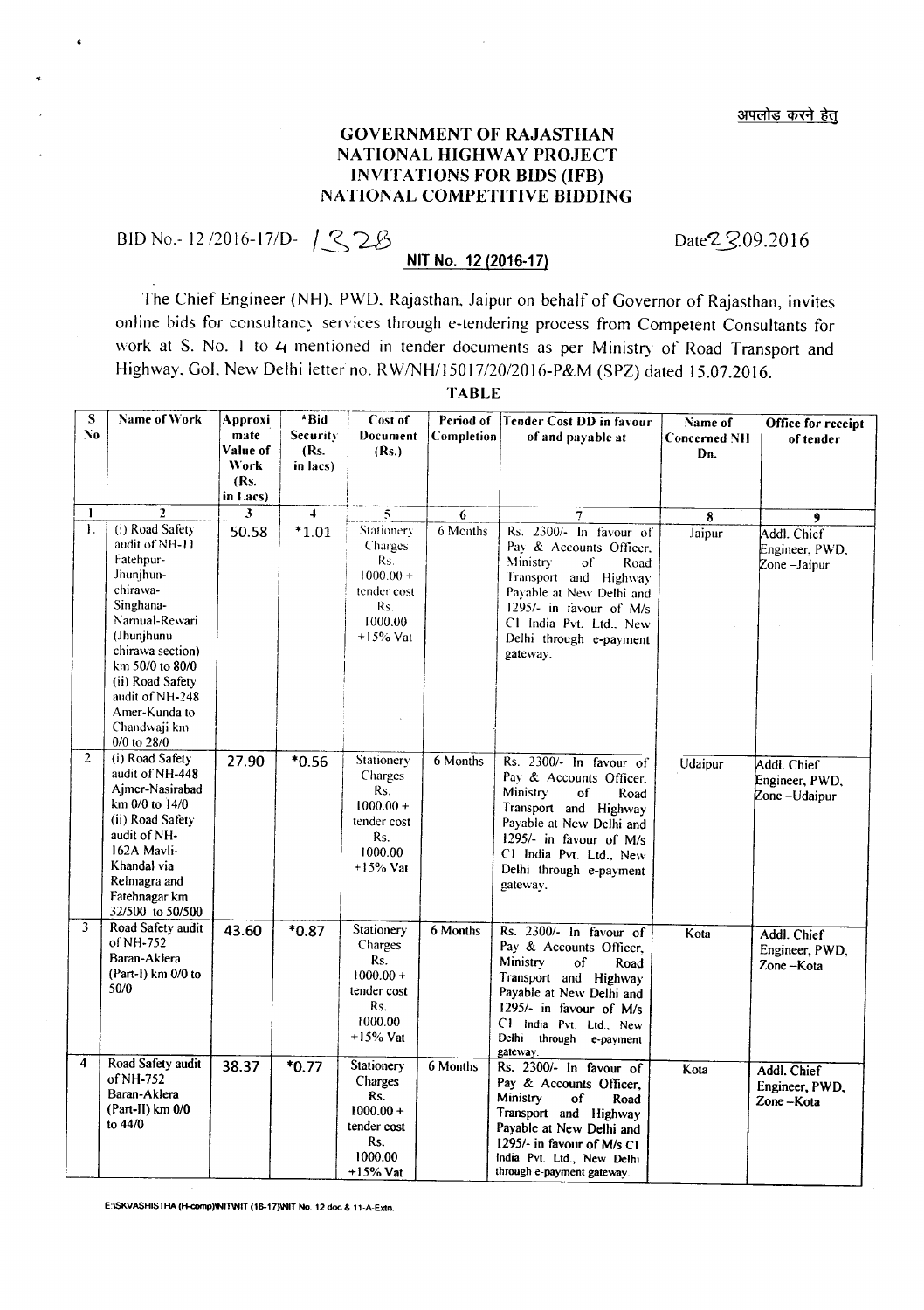## GOVERNMENT OF RAJASTHAN NATIONAL HIGHWAY PROJECT INVITATIONS FOR BIDS (lFB) NATIONAL COMPETITIVE BIDDING

BID No.-12/2016-17/D-  $12$ 2B

## **NIT** No. 12 (2016·17)

Date<sup>2</sup> 2.09.2016

The Chief Engineer (NH). PWD. Rajasthan, Jaipur on behalf of Governor of Rajasthan, invites online bids for consultancy services through e-tendering process from Competent Consultants for work at S. No. 1 to 4 mentioned in tender documents as per Ministry of Road Transport and Highway. Gol. New Delhi letter no. RW/NH/15017/20/2016-P&M (SPZ) dated 15.07.2016.

| $\overline{s}$<br>No. | Name of Work                                                                                                                                                                                                                                      | Approxi<br>mate<br>Value of<br><b>Work</b><br>(Rs.<br>in Lacs) | *Bid<br>Security<br>(Rs.<br>in lacs) | Cost of<br>Document<br>(Rs.)                                                               | Period of<br>Completion | Tender Cost DD in favour<br>of and payable at                                                                                                                                                                                         | Name of<br><b>Concerned NH</b><br>Dn. | Office for receipt<br>of tender               |
|-----------------------|---------------------------------------------------------------------------------------------------------------------------------------------------------------------------------------------------------------------------------------------------|----------------------------------------------------------------|--------------------------------------|--------------------------------------------------------------------------------------------|-------------------------|---------------------------------------------------------------------------------------------------------------------------------------------------------------------------------------------------------------------------------------|---------------------------------------|-----------------------------------------------|
| $\mathbf{I}$          | $\overline{2}$                                                                                                                                                                                                                                    | $\overline{\mathbf{3}}$                                        | $\overline{4}$                       | 5                                                                                          | 6                       | 7                                                                                                                                                                                                                                     | 8                                     | 9                                             |
| $\mathbf{I}$ .        | (i) Road Safety<br>audit of NH-11<br>Fatehpur-<br>Jhunjhun-<br>chirawa-<br>Singhana-<br>Namual-Rewari<br>(Jhunjhunu<br>chirawa section)<br>km 50/0 to 80/0<br>(ii) Road Safety<br>audit of NH-248<br>Amer-Kunda to<br>Chandwaji km<br>0/0 to 28/0 | 50.58                                                          | $*1.01$                              | Stationery<br>Charges<br>Rs.<br>$1000.00 +$<br>tender cost<br>Rs.<br>1000.00<br>$+15%$ Vat | 6 Months                | Rs. 2300/- In favour of<br>Pay & Accounts Officer,<br>Ministry:<br>of<br>Road<br>Transport and Highway<br>Payable at New Delhi and<br>1295/- in favour of M/s<br>C1 India Pvt. Ltd., New<br>Delhi through e-payment<br>gateway.       | Jaipur                                | Addl. Chief<br>Engineer, PWD,<br>Zone-Jaipur  |
| $\overline{2}$        | (i) Road Safety<br>audit of NH-448<br>Ajmer-Nasirabad<br>km 0/0 to 14/0<br>(ii) Road Safety<br>audit of NH-<br>162A Mavli-<br>Khandal via<br>Relmagra and<br>Fatehnagar km<br>32/500 to 50/500                                                    | 27.90                                                          | $*0.56$                              | Stationery<br>Charges<br>Rs.<br>$1000.00 +$<br>tender cost<br>Rs.<br>1000.00<br>$+15%$ Vat | 6 Months                | Rs. 2300/- In favour of<br>Pay & Accounts Officer,<br><b>Ministry</b><br>of<br>Road<br>Transport and Highway<br>Payable at New Delhi and<br>1295/- in favour of M/s<br>C1 India Pvt. Ltd., New<br>Delhi through e-payment<br>gateway. | Udaipur                               | Addl. Chief<br>Engineer, PWD,<br>Zone-Udaipur |
| 3                     | Road Safety audit<br>of NH-752<br>Baran-Aklera<br>(Part-1) km 0/0 to<br>50/0                                                                                                                                                                      | 43.60                                                          | $*0.87$                              | Stationery<br>Charges<br>Rs.<br>$1000.00 +$<br>tender cost<br>Rs.<br>1000.00<br>$+15%$ Vat | 6 Months                | Rs. 2300/- In favour of<br>Pay & Accounts Officer,<br>Ministry<br>of<br>Road<br>Transport and Highway<br>Payable at New Delhi and<br>1295/- in favour of M/s<br>C1 India Pvt. Ltd., New<br>Delhi<br>through<br>e-payment<br>gateway.  | Kota                                  | Addl. Chief<br>Engineer, PWD,<br>Zone-Kota    |
| 4                     | Road Safety audit<br>of NH-752<br>Baran-Aklera<br>(Part-II) km 0/0<br>to 44/0                                                                                                                                                                     | 38.37                                                          | $*0.77$                              | Stationery<br>Charges<br>Rs.<br>$1000.00 +$<br>tender cost<br>Rs.<br>1000.00<br>$+15%$ Vat | 6 Months                | Rs. 2300/- In favour of<br>Pay & Accounts Officer,<br>Ministry<br>of<br>Road<br>Transport and Highway<br>Payable at New Delhi and<br>1295/- in favour of M/s C1<br>India Pvt. Ltd., New Delhi<br>through e-payment gateway.           | Kota                                  | Addl. Chief<br>Engineer, PWD,<br>Zone-Kota    |

TABLE

E:ISKVASHISTHA (H-comp)INITWIT (16-17)INIT No. 12.doc & 11-A-Extn.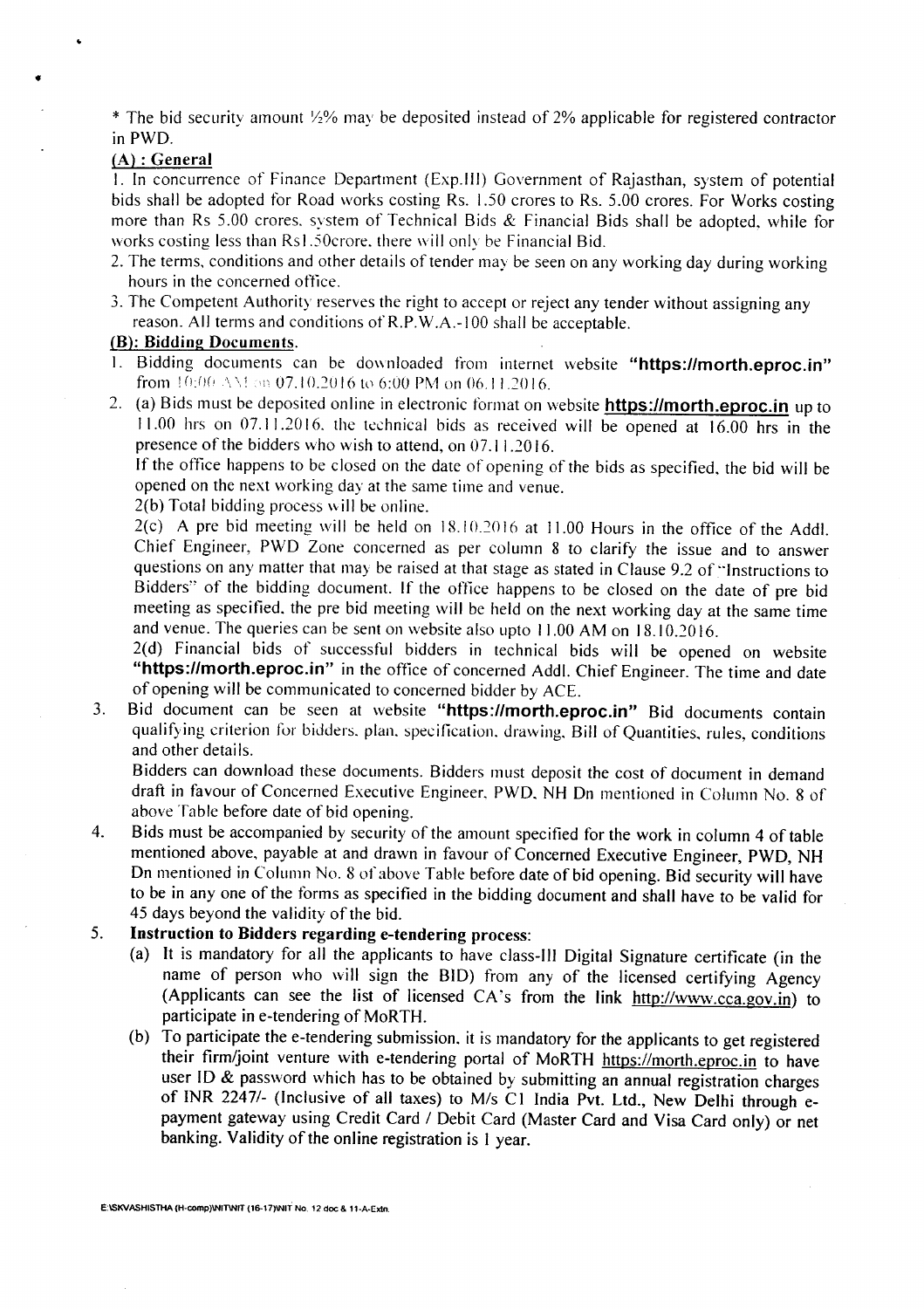\* The bid security amount  $\frac{1}{2}\%$  may be deposited instead of 2% applicable for registered contractor inPWD.

#### (A) : General

I. In concurrence of Finance Department (Exp.III) Government of Rajasthan, system of potential bids shall be adopted for Road works costing Rs. 1.50 crores to Rs. 5.00 crores. For Works costing more than Rs 5.00 crores. system of Technical Bids & Financial Bids shall be adopted, while for works costing less than Rs1.50crore, there will only be Financial Bid.

- 2. The terms, conditions and other details of tender may be seen on any working day during working hours in the concerned office.
- 3. The Competent Authority reserves the right to accept or reject any tender without assigning any reason. All terms and conditions ofR.P.W.A.-IOO shall be acceptable.

#### (B): Bidding Documents.

- Bidding documents can be downloaded from internet website "https://morth.eproc.in" from  $10:00 \,\mathrm{AM}$  on 07.10.2016 to 6:00 PM on 06.11.2016.
- 2. (a) Bids must be deposited online in electronic format on website **https://morth.eproc.in** up to J J.00 hrs on 07. J J.2016. the technical bids as received will be opened at 16.00 hrs in the presence of the bidders who wish to attend, on 07.11.2016.

If the office happens to be closed on the date of opening of the bids as specified, the bid will be opened on the next working day at the same time and venue.

2(b) Total bidding process will be online.

2(c) A pre bid meeting will be held on J8.IO.2016 at 11.00 Hours in the office of the Add!. Chief Engineer, PWD Zone concerned as per column 8 to clarify the issue and to answer questions on any matter that may be raised at that stage as stated in Clause 9.2 of "Instructions to Bidders" of the bidding document. If the office happens to be closed on the date of pre bid meeting as specified. the pre bid meeting will be held on the next working day at the same time and venue. The queries can be sent on website also upto J 1.00 AM on 18.10.2016.

2(d) Financial bids of successful bidders in technical bids will be opened on website "https://morth.eproc.in" in the office of concerned Addl. Chief Engineer. The time and date of opening will be communicated to concerned bidder by ACE.

3. Bid document can be seen at website "https://morth.eproc.in" Bid documents contain qualifying criterion for bidders. plan. specification. drawing, Bill of Quantities, rules, conditions and other details.

Bidders can download these documents. Bidders must deposit the cost of document in demand draft in favour of Concerned Executive Engineer. PWD. NH On mentioned in Column No.8 of above Table before date of bid opening.

4. Bids must be accompanied by security of the amount specified for the work in column 4 of table mentioned above, payable at and drawn in favour of Concerned Executive Engineer, PWD, NH On mentioned in Column No.8 of above Table before date of bid opening. Bid security will have to be in anyone of the forms as specified in the bidding document and shall have to be valid for 45 days beyond the validity of the bid.

# 5. Instruction to Bidders regarding e-tendering process:

- (a) It is mandatory for all the applicants to have class-III Digital Signature certificate (in the name of person who will sign the BID) from any of the licensed certifying Agency (Applicants can see the list of licensed CA's from the link http://www.cca.gov.in) to participate in e-tendering of MoRTH.
- (b) To participate the e-tendering submission. it is mandatory for the applicants to get registered their firm/joint venture with e-tendering portal of MoRTH https://morth.eproc.in to have user ID & password which has to be obtained by submitting an annual registration charges of INR *22471-* (Inclusive of all taxes) to *Mis* C 1 India Pvt. Ltd., New Delhi through epayment gateway using Credit Card / Debit Card (Master Card and Visa Card only) or net banking. Validity of the online registration is I year.